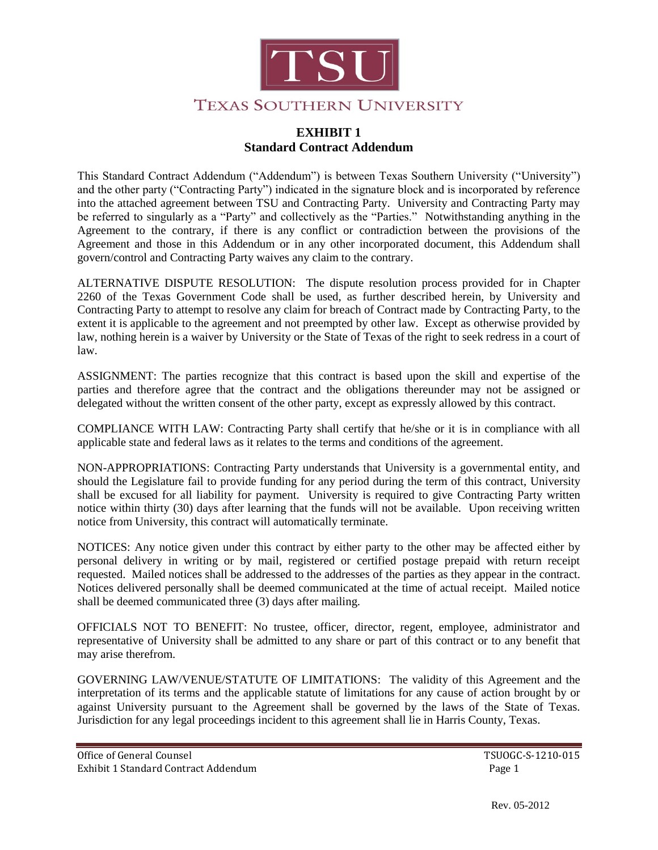

#### **EXHIBIT 1 Standard Contract Addendum**

This Standard Contract Addendum ("Addendum") is between Texas Southern University ("University") and the other party ("Contracting Party") indicated in the signature block and is incorporated by reference into the attached agreement between TSU and Contracting Party. University and Contracting Party may be referred to singularly as a "Party" and collectively as the "Parties." Notwithstanding anything in the Agreement to the contrary, if there is any conflict or contradiction between the provisions of the Agreement and those in this Addendum or in any other incorporated document, this Addendum shall govern/control and Contracting Party waives any claim to the contrary.

ALTERNATIVE DISPUTE RESOLUTION: The dispute resolution process provided for in Chapter 2260 of the Texas Government Code shall be used, as further described herein, by University and Contracting Party to attempt to resolve any claim for breach of Contract made by Contracting Party, to the extent it is applicable to the agreement and not preempted by other law. Except as otherwise provided by law, nothing herein is a waiver by University or the State of Texas of the right to seek redress in a court of law.

ASSIGNMENT: The parties recognize that this contract is based upon the skill and expertise of the parties and therefore agree that the contract and the obligations thereunder may not be assigned or delegated without the written consent of the other party, except as expressly allowed by this contract.

COMPLIANCE WITH LAW: Contracting Party shall certify that he/she or it is in compliance with all applicable state and federal laws as it relates to the terms and conditions of the agreement.

NON-APPROPRIATIONS: Contracting Party understands that University is a governmental entity, and should the Legislature fail to provide funding for any period during the term of this contract, University shall be excused for all liability for payment. University is required to give Contracting Party written notice within thirty (30) days after learning that the funds will not be available. Upon receiving written notice from University, this contract will automatically terminate.

NOTICES: Any notice given under this contract by either party to the other may be affected either by personal delivery in writing or by mail, registered or certified postage prepaid with return receipt requested. Mailed notices shall be addressed to the addresses of the parties as they appear in the contract. Notices delivered personally shall be deemed communicated at the time of actual receipt. Mailed notice shall be deemed communicated three (3) days after mailing.

OFFICIALS NOT TO BENEFIT: No trustee, officer, director, regent, employee, administrator and representative of University shall be admitted to any share or part of this contract or to any benefit that may arise therefrom.

GOVERNING LAW/VENUE/STATUTE OF LIMITATIONS: The validity of this Agreement and the interpretation of its terms and the applicable statute of limitations for any cause of action brought by or against University pursuant to the Agreement shall be governed by the laws of the State of Texas. Jurisdiction for any legal proceedings incident to this agreement shall lie in Harris County, Texas.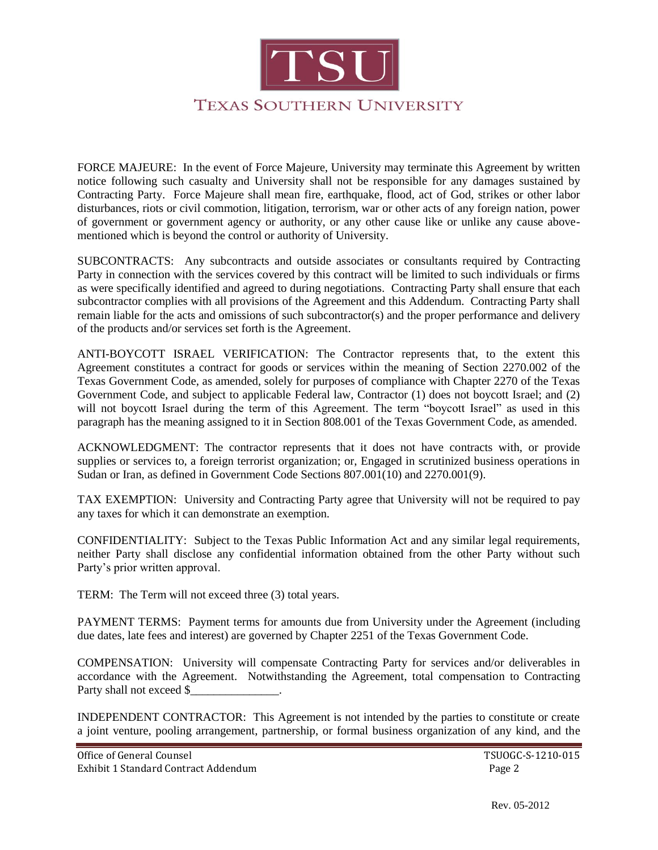

FORCE MAJEURE: In the event of Force Majeure, University may terminate this Agreement by written notice following such casualty and University shall not be responsible for any damages sustained by Contracting Party. Force Majeure shall mean fire, earthquake, flood, act of God, strikes or other labor disturbances, riots or civil commotion, litigation, terrorism, war or other acts of any foreign nation, power of government or government agency or authority, or any other cause like or unlike any cause abovementioned which is beyond the control or authority of University.

SUBCONTRACTS: Any subcontracts and outside associates or consultants required by Contracting Party in connection with the services covered by this contract will be limited to such individuals or firms as were specifically identified and agreed to during negotiations. Contracting Party shall ensure that each subcontractor complies with all provisions of the Agreement and this Addendum. Contracting Party shall remain liable for the acts and omissions of such subcontractor(s) and the proper performance and delivery of the products and/or services set forth is the Agreement.

ANTI-BOYCOTT ISRAEL VERIFICATION: The Contractor represents that, to the extent this Agreement constitutes a contract for goods or services within the meaning of Section 2270.002 of the Texas Government Code, as amended, solely for purposes of compliance with Chapter 2270 of the Texas Government Code, and subject to applicable Federal law, Contractor (1) does not boycott Israel; and (2) will not boycott Israel during the term of this Agreement. The term "boycott Israel" as used in this paragraph has the meaning assigned to it in Section 808.001 of the Texas Government Code, as amended.

ACKNOWLEDGMENT: The contractor represents that it does not have contracts with, or provide supplies or services to, a foreign terrorist organization; or, Engaged in scrutinized business operations in Sudan or Iran, as defined in Government Code Sections 807.001(10) and 2270.001(9).

TAX EXEMPTION: University and Contracting Party agree that University will not be required to pay any taxes for which it can demonstrate an exemption.

CONFIDENTIALITY: Subject to the Texas Public Information Act and any similar legal requirements, neither Party shall disclose any confidential information obtained from the other Party without such Party's prior written approval.

TERM: The Term will not exceed three (3) total years.

PAYMENT TERMS: Payment terms for amounts due from University under the Agreement (including due dates, late fees and interest) are governed by Chapter 2251 of the Texas Government Code.

COMPENSATION: University will compensate Contracting Party for services and/or deliverables in accordance with the Agreement. Notwithstanding the Agreement, total compensation to Contracting Party shall not exceed \$

INDEPENDENT CONTRACTOR: This Agreement is not intended by the parties to constitute or create a joint venture, pooling arrangement, partnership, or formal business organization of any kind, and the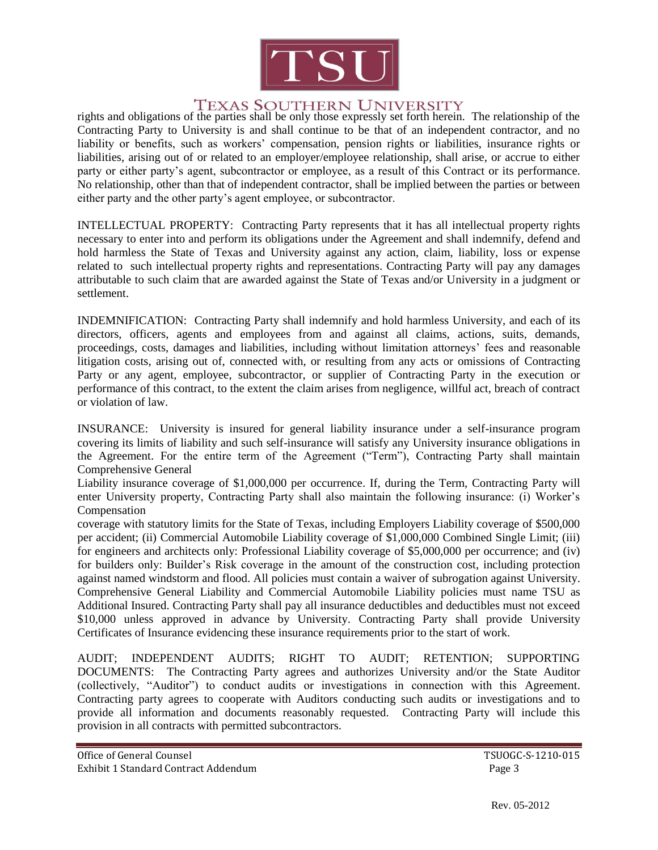

### **TEXAS SOUTHERN UNIVERSITY**

rights and obligations of the parties shall be only those expressly set forth herein. The relationship of the Contracting Party to University is and shall continue to be that of an independent contractor, and no liability or benefits, such as workers' compensation, pension rights or liabilities, insurance rights or liabilities, arising out of or related to an employer/employee relationship, shall arise, or accrue to either party or either party's agent, subcontractor or employee, as a result of this Contract or its performance. No relationship, other than that of independent contractor, shall be implied between the parties or between either party and the other party's agent employee, or subcontractor.

INTELLECTUAL PROPERTY: Contracting Party represents that it has all intellectual property rights necessary to enter into and perform its obligations under the Agreement and shall indemnify, defend and hold harmless the State of Texas and University against any action, claim, liability, loss or expense related to such intellectual property rights and representations. Contracting Party will pay any damages attributable to such claim that are awarded against the State of Texas and/or University in a judgment or settlement.

INDEMNIFICATION: Contracting Party shall indemnify and hold harmless University, and each of its directors, officers, agents and employees from and against all claims, actions, suits, demands, proceedings, costs, damages and liabilities, including without limitation attorneys' fees and reasonable litigation costs, arising out of, connected with, or resulting from any acts or omissions of Contracting Party or any agent, employee, subcontractor, or supplier of Contracting Party in the execution or performance of this contract, to the extent the claim arises from negligence, willful act, breach of contract or violation of law.

INSURANCE: University is insured for general liability insurance under a self-insurance program covering its limits of liability and such self-insurance will satisfy any University insurance obligations in the Agreement. For the entire term of the Agreement ("Term"), Contracting Party shall maintain Comprehensive General

Liability insurance coverage of \$1,000,000 per occurrence. If, during the Term, Contracting Party will enter University property, Contracting Party shall also maintain the following insurance: (i) Worker's **Compensation** 

coverage with statutory limits for the State of Texas, including Employers Liability coverage of \$500,000 per accident; (ii) Commercial Automobile Liability coverage of \$1,000,000 Combined Single Limit; (iii) for engineers and architects only: Professional Liability coverage of \$5,000,000 per occurrence; and (iv) for builders only: Builder's Risk coverage in the amount of the construction cost, including protection against named windstorm and flood. All policies must contain a waiver of subrogation against University. Comprehensive General Liability and Commercial Automobile Liability policies must name TSU as Additional Insured. Contracting Party shall pay all insurance deductibles and deductibles must not exceed \$10,000 unless approved in advance by University. Contracting Party shall provide University Certificates of Insurance evidencing these insurance requirements prior to the start of work.

AUDIT; INDEPENDENT AUDITS; RIGHT TO AUDIT; RETENTION; SUPPORTING DOCUMENTS: The Contracting Party agrees and authorizes University and/or the State Auditor (collectively, "Auditor") to conduct audits or investigations in connection with this Agreement. Contracting party agrees to cooperate with Auditors conducting such audits or investigations and to provide all information and documents reasonably requested. Contracting Party will include this provision in all contracts with permitted subcontractors.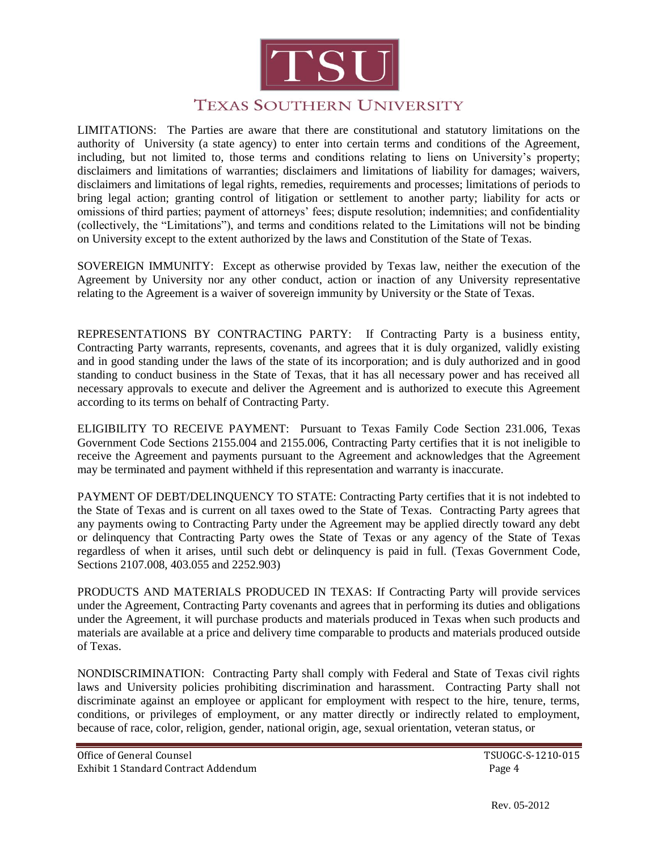

# **TEXAS SOUTHERN UNIVERSITY**

LIMITATIONS: The Parties are aware that there are constitutional and statutory limitations on the authority of University (a state agency) to enter into certain terms and conditions of the Agreement, including, but not limited to, those terms and conditions relating to liens on University's property; disclaimers and limitations of warranties; disclaimers and limitations of liability for damages; waivers, disclaimers and limitations of legal rights, remedies, requirements and processes; limitations of periods to bring legal action; granting control of litigation or settlement to another party; liability for acts or omissions of third parties; payment of attorneys' fees; dispute resolution; indemnities; and confidentiality (collectively, the "Limitations"), and terms and conditions related to the Limitations will not be binding on University except to the extent authorized by the laws and Constitution of the State of Texas.

SOVEREIGN IMMUNITY: Except as otherwise provided by Texas law, neither the execution of the Agreement by University nor any other conduct, action or inaction of any University representative relating to the Agreement is a waiver of sovereign immunity by University or the State of Texas.

REPRESENTATIONS BY CONTRACTING PARTY: If Contracting Party is a business entity, Contracting Party warrants, represents, covenants, and agrees that it is duly organized, validly existing and in good standing under the laws of the state of its incorporation; and is duly authorized and in good standing to conduct business in the State of Texas, that it has all necessary power and has received all necessary approvals to execute and deliver the Agreement and is authorized to execute this Agreement according to its terms on behalf of Contracting Party.

ELIGIBILITY TO RECEIVE PAYMENT: Pursuant to Texas Family Code Section 231.006, Texas Government Code Sections 2155.004 and 2155.006, Contracting Party certifies that it is not ineligible to receive the Agreement and payments pursuant to the Agreement and acknowledges that the Agreement may be terminated and payment withheld if this representation and warranty is inaccurate.

PAYMENT OF DEBT/DELINQUENCY TO STATE: Contracting Party certifies that it is not indebted to the State of Texas and is current on all taxes owed to the State of Texas. Contracting Party agrees that any payments owing to Contracting Party under the Agreement may be applied directly toward any debt or delinquency that Contracting Party owes the State of Texas or any agency of the State of Texas regardless of when it arises, until such debt or delinquency is paid in full. (Texas Government Code, Sections 2107.008, 403.055 and 2252.903)

PRODUCTS AND MATERIALS PRODUCED IN TEXAS: If Contracting Party will provide services under the Agreement, Contracting Party covenants and agrees that in performing its duties and obligations under the Agreement, it will purchase products and materials produced in Texas when such products and materials are available at a price and delivery time comparable to products and materials produced outside of Texas.

NONDISCRIMINATION: Contracting Party shall comply with Federal and State of Texas civil rights laws and University policies prohibiting discrimination and harassment. Contracting Party shall not discriminate against an employee or applicant for employment with respect to the hire, tenure, terms, conditions, or privileges of employment, or any matter directly or indirectly related to employment, because of race, color, religion, gender, national origin, age, sexual orientation, veteran status, or